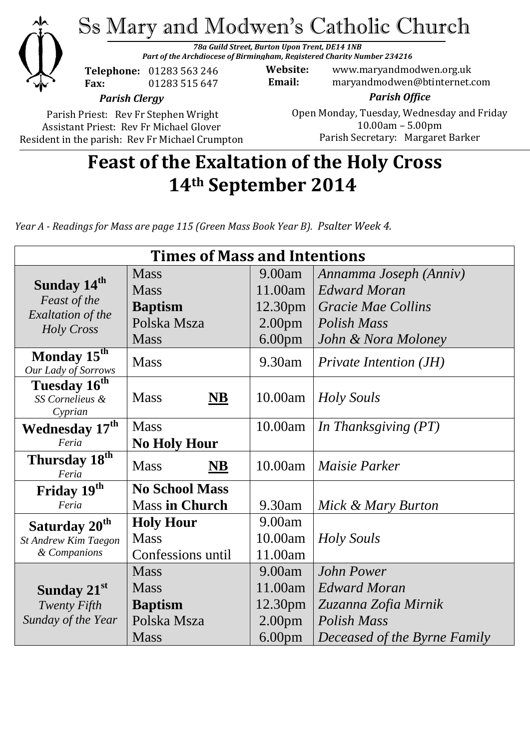

*Parish Clergy*

Parish Priest: Rev Fr Stephen Wright Assistant Priest: Rev Fr Michael Glover Resident in the parish: Rev Fr Michael Crumpton

*Parish Office* Open Monday, Tuesday, Wednesday and Friday 10.00am – 5.00pm Parish Secretary:Margaret Barker

# **Feast of the Exaltation of the Holy Cross 14th September 2014**

*Year A - Readings for Mass are page 115 (Green Mass Book Year B). Psalter Week 4.*

| <b>Times of Mass and Intentions</b>            |                          |                     |                               |
|------------------------------------------------|--------------------------|---------------------|-------------------------------|
|                                                | <b>Mass</b>              | 9.00am              | Annamma Joseph (Anniv)        |
| Sunday 14 <sup>th</sup>                        | <b>Mass</b>              | 11.00am             | <b>Edward Moran</b>           |
| Feast of the                                   | <b>Baptism</b>           | 12.30 <sub>pm</sub> | Gracie Mae Collins            |
| <b>Exaltation of the</b><br>Holy Cross         | Polska Msza              | 2.00 <sub>pm</sub>  | <b>Polish Mass</b>            |
|                                                | <b>Mass</b>              | 6.00 <sub>pm</sub>  | John & Nora Moloney           |
| Monday 15 <sup>th</sup><br>Our Lady of Sorrows | <b>Mass</b>              | 9.30am              | <b>Private Intention (JH)</b> |
| Tuesday 16 <sup>th</sup>                       |                          |                     |                               |
| SS Cornelieus &                                | <b>Mass</b><br><b>NB</b> | 10.00am             | Holy Souls                    |
| Cyprian                                        |                          |                     |                               |
| Wednesday 17 <sup>th</sup>                     | <b>Mass</b>              | 10.00am             | In Thanksgiving (PT)          |
| Feria                                          | <b>No Holy Hour</b>      |                     |                               |
| Thursday 18 <sup>th</sup><br>Feria             | <b>Mass</b><br>NB        | 10.00am             | Maisie Parker                 |
| Friday 19th                                    | <b>No School Mass</b>    |                     |                               |
| Feria                                          | <b>Mass in Church</b>    | 9.30am              | Mick & Mary Burton            |
| Saturday 20 <sup>th</sup>                      | <b>Holy Hour</b>         | 9.00am              |                               |
| St Andrew Kim Taegon                           | <b>Mass</b>              | 10.00am             | Holy Souls                    |
| & Companions                                   | Confessions until        | 11.00am             |                               |
|                                                | <b>Mass</b>              | 9.00am              | John Power                    |
| Sunday 21st                                    | <b>Mass</b>              | 11.00am             | <b>Edward Moran</b>           |
| <b>Twenty Fifth</b>                            | <b>Baptism</b>           | 12.30 <sub>pm</sub> | Zuzanna Zofia Mirnik          |
| Sunday of the Year                             | Polska Msza              | 2.00 <sub>pm</sub>  | <b>Polish Mass</b>            |
|                                                | <b>Mass</b>              | 6.00 <sub>pm</sub>  | Deceased of the Byrne Family  |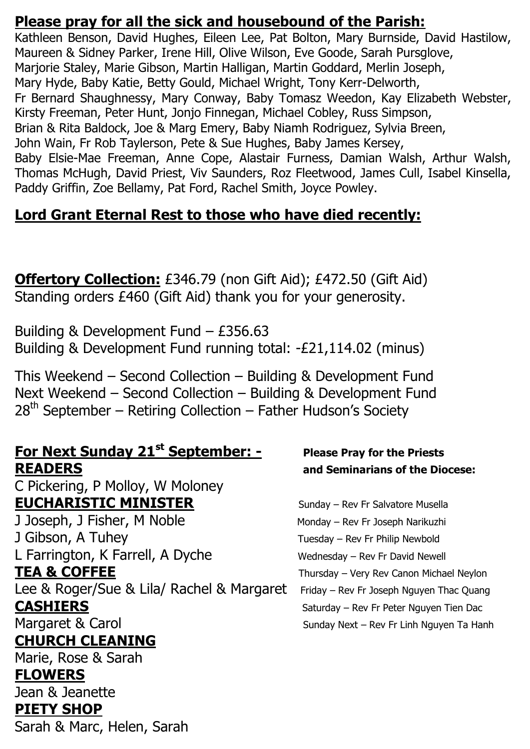### **Please pray for all the sick and housebound of the Parish:**

Kathleen Benson, David Hughes, Eileen Lee, Pat Bolton, Mary Burnside, David Hastilow, Maureen & Sidney Parker, Irene Hill, Olive Wilson, Eve Goode, Sarah Pursglove, Marjorie Staley, Marie Gibson, Martin Halligan, Martin Goddard, Merlin Joseph, Mary Hyde, Baby Katie, Betty Gould, Michael Wright, Tony Kerr-Delworth, Fr Bernard Shaughnessy, Mary Conway, Baby Tomasz Weedon, Kay Elizabeth Webster, Kirsty Freeman, Peter Hunt, Jonjo Finnegan, Michael Cobley, Russ Simpson, Brian & Rita Baldock, Joe & Marg Emery, Baby Niamh Rodriguez, Sylvia Breen, John Wain, Fr Rob Taylerson, Pete & Sue Hughes, Baby James Kersey, Baby Elsie-Mae Freeman, Anne Cope, Alastair Furness, Damian Walsh, Arthur Walsh, Thomas McHugh, David Priest, Viv Saunders, Roz Fleetwood, James Cull, Isabel Kinsella, Paddy Griffin, Zoe Bellamy, Pat Ford, Rachel Smith, Joyce Powley.

## **Lord Grant Eternal Rest to those who have died recently:**

**Offertory Collection:** £346.79 (non Gift Aid); £472.50 (Gift Aid) Standing orders £460 (Gift Aid) thank you for your generosity.

Building & Development Fund – £356.63 Building & Development Fund running total: -£21,114.02 (minus)

This Weekend – Second Collection – Building & Development Fund Next Weekend – Second Collection – Building & Development Fund  $28<sup>th</sup>$  September – Retiring Collection – Father Hudson's Society

### **For Next Sunday 21st September: - Please Pray for the Priests READERS and Seminarians of the Diocese:**

C Pickering, P Molloy, W Moloney **EUCHARISTIC MINISTER** Sunday – Rev Fr Salvatore Musella

J Joseph, J Fisher, M Noble Monday – Rev Fr Joseph Narikuzhi J Gibson, A Tuhey Tuesday – Rev Fr Philip Newbold L Farrington, K Farrell, A Dyche Wednesday - Rev Fr David Newell **TEA & COFFEE** Thursday – Very Rev Canon Michael Neylon Lee & Roger/Sue & Lila/ Rachel & Margaret Friday - Rev Fr Joseph Nguyen Thac Quang **CASHIERS** Saturday – Rev Fr Peter Nguyen Tien Dac Margaret & Carol Sunday Next – Rev Fr Linh Nguyen Ta Hanh **CHURCH CLEANING**

Marie, Rose & Sarah

#### **FLOWERS**

Jean & Jeanette **PIETY SHOP**

Sarah & Marc, Helen, Sarah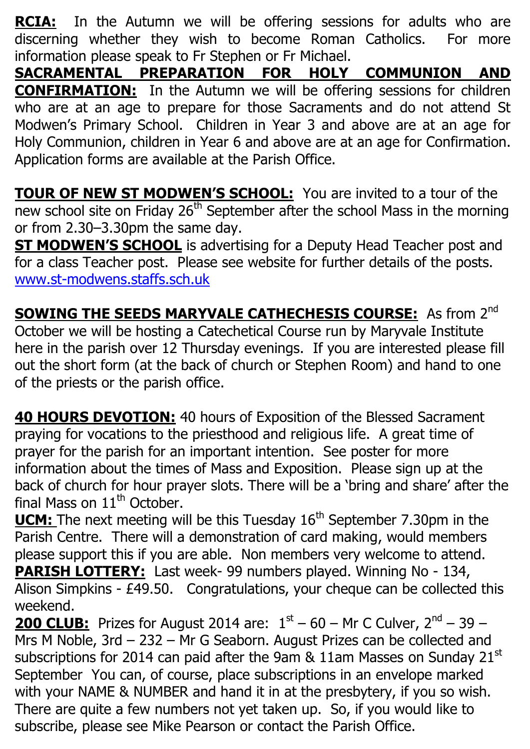**RCIA:** In the Autumn we will be offering sessions for adults who are discerning whether they wish to become Roman Catholics. For more information please speak to Fr Stephen or Fr Michael.

**SACRAMENTAL PREPARATION FOR HOLY COMMUNION AND CONFIRMATION:** In the Autumn we will be offering sessions for children who are at an age to prepare for those Sacraments and do not attend St Modwen's Primary School. Children in Year 3 and above are at an age for Holy Communion, children in Year 6 and above are at an age for Confirmation. Application forms are available at the Parish Office.

**TOUR OF NEW ST MODWEN'S SCHOOL:** You are invited to a tour of the new school site on Friday  $26<sup>th</sup>$  September after the school Mass in the morning or from 2.30–3.30pm the same day.

**ST MODWEN'S SCHOOL** is advertising for a Deputy Head Teacher post and for a class Teacher post. Please see website for further details of the posts. [www.st-modwens.staffs.sch.uk](http://www.st-modwens.staffs.sch.uk/)

**SOWING THE SEEDS MARYVALE CATHECHESIS COURSE:** As from 2<sup>nd</sup> October we will be hosting a Catechetical Course run by Maryvale Institute here in the parish over 12 Thursday evenings. If you are interested please fill out the short form (at the back of church or Stephen Room) and hand to one of the priests or the parish office.

**40 HOURS DEVOTION:** 40 hours of Exposition of the Blessed Sacrament praying for vocations to the priesthood and religious life. A great time of prayer for the parish for an important intention. See poster for more information about the times of Mass and Exposition. Please sign up at the back of church for hour prayer slots. There will be a 'bring and share' after the final Mass on  $11<sup>th</sup>$  October.

**UCM:** The next meeting will be this Tuesday 16<sup>th</sup> September 7.30pm in the Parish Centre. There will a demonstration of card making, would members please support this if you are able. Non members very welcome to attend. **PARISH LOTTERY:** Last week- 99 numbers played. Winning No - 134, Alison Simpkins - £49.50. Congratulations, your cheque can be collected this weekend.

**200 CLUB:** Prizes for August 2014 are:  $1^{st}$  – 60 – Mr C Culver,  $2^{nd}$  – 39 – Mrs M Noble, 3rd – 232 – Mr G Seaborn. August Prizes can be collected and subscriptions for 2014 can paid after the 9am & 11am Masses on Sunday 21st September You can, of course, place subscriptions in an envelope marked with your NAME & NUMBER and hand it in at the presbytery, if you so wish. There are quite a few numbers not yet taken up. So, if you would like to subscribe, please see Mike Pearson or contact the Parish Office.